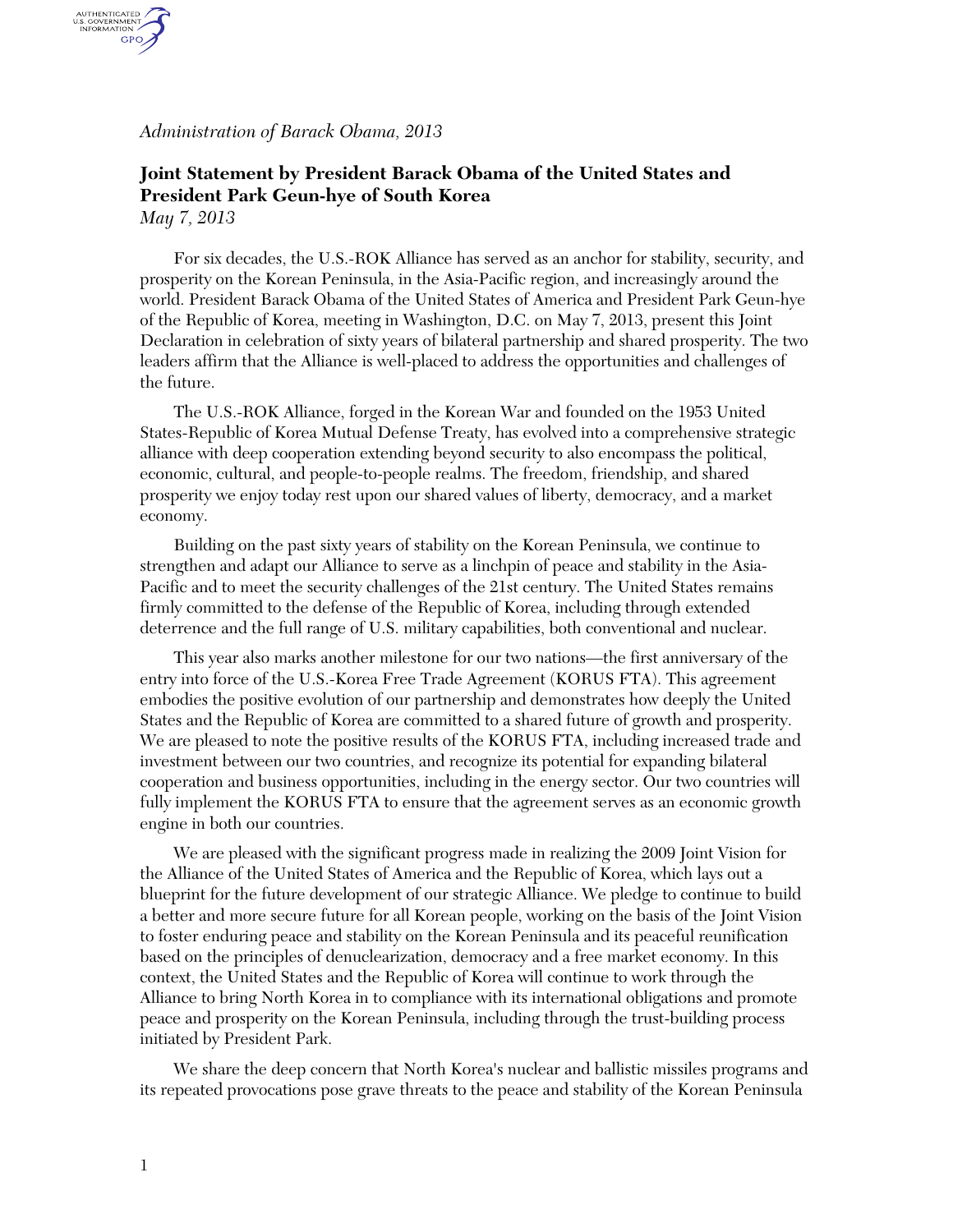*Administration of Barack Obama, 2013* 

AUTHENTICATED<br>U.S. GOVERNMENT<br>INFORMATION GPO.

## **Joint Statement by President Barack Obama of the United States and President Park Geun-hye of South Korea**  *May 7, 2013*

For six decades, the U.S.-ROK Alliance has served as an anchor for stability, security, and prosperity on the Korean Peninsula, in the Asia-Pacific region, and increasingly around the world. President Barack Obama of the United States of America and President Park Geun-hye of the Republic of Korea, meeting in Washington, D.C. on May 7, 2013, present this Joint Declaration in celebration of sixty years of bilateral partnership and shared prosperity. The two leaders affirm that the Alliance is well-placed to address the opportunities and challenges of the future.

The U.S.-ROK Alliance, forged in the Korean War and founded on the 1953 United States-Republic of Korea Mutual Defense Treaty, has evolved into a comprehensive strategic alliance with deep cooperation extending beyond security to also encompass the political, economic, cultural, and people-to-people realms. The freedom, friendship, and shared prosperity we enjoy today rest upon our shared values of liberty, democracy, and a market economy.

Building on the past sixty years of stability on the Korean Peninsula, we continue to strengthen and adapt our Alliance to serve as a linchpin of peace and stability in the Asia-Pacific and to meet the security challenges of the 21st century. The United States remains firmly committed to the defense of the Republic of Korea, including through extended deterrence and the full range of U.S. military capabilities, both conventional and nuclear.

This year also marks another milestone for our two nations—the first anniversary of the entry into force of the U.S.-Korea Free Trade Agreement (KORUS FTA). This agreement embodies the positive evolution of our partnership and demonstrates how deeply the United States and the Republic of Korea are committed to a shared future of growth and prosperity. We are pleased to note the positive results of the KORUS FTA, including increased trade and investment between our two countries, and recognize its potential for expanding bilateral cooperation and business opportunities, including in the energy sector. Our two countries will fully implement the KORUS FTA to ensure that the agreement serves as an economic growth engine in both our countries.

We are pleased with the significant progress made in realizing the 2009 Joint Vision for the Alliance of the United States of America and the Republic of Korea, which lays out a blueprint for the future development of our strategic Alliance. We pledge to continue to build a better and more secure future for all Korean people, working on the basis of the Joint Vision to foster enduring peace and stability on the Korean Peninsula and its peaceful reunification based on the principles of denuclearization, democracy and a free market economy. In this context, the United States and the Republic of Korea will continue to work through the Alliance to bring North Korea in to compliance with its international obligations and promote peace and prosperity on the Korean Peninsula, including through the trust-building process initiated by President Park.

We share the deep concern that North Korea's nuclear and ballistic missiles programs and its repeated provocations pose grave threats to the peace and stability of the Korean Peninsula